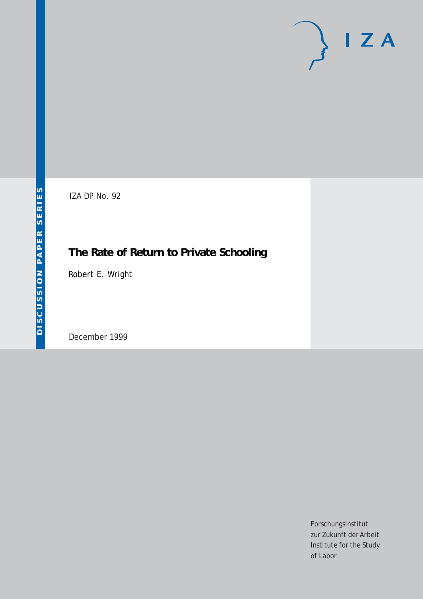# $I Z A$

IZA DP No. 92

## **The Rate of Return to Private Schooling**

Robert E. Wright

December 1999

Forschungsinstitut zur Zukunft der Arbeit Institute for the Study of Labor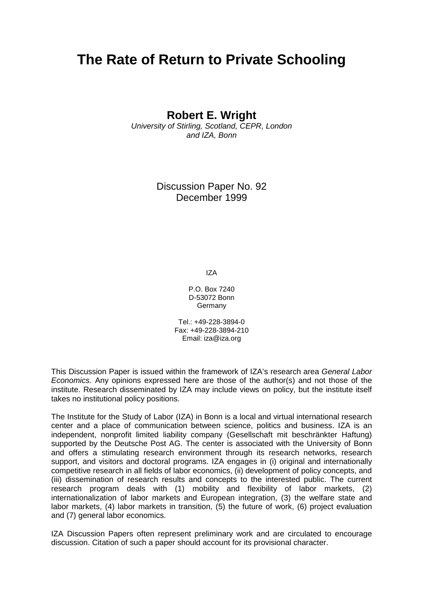## **The Rate of Return to Private Schooling**

**Robert E. Wright** 

University of Stirling, Scotland, CEPR, London and IZA, Bonn

> Discussion Paper No. 92 December 1999

> > IZA

P.O. Box 7240 D-53072 Bonn Germany

Tel.: +49-228-3894-0 Fax: +49-228-3894-210 Email: iza@iza.org

This Discussion Paper is issued within the framework of IZA's research area General Labor Economics. Any opinions expressed here are those of the author(s) and not those of the institute. Research disseminated by IZA may include views on policy, but the institute itself takes no institutional policy positions.

The Institute for the Study of Labor (IZA) in Bonn is a local and virtual international research center and a place of communication between science, politics and business. IZA is an independent, nonprofit limited liability company (Gesellschaft mit beschränkter Haftung) supported by the Deutsche Post AG. The center is associated with the University of Bonn and offers a stimulating research environment through its research networks, research support, and visitors and doctoral programs. IZA engages in (i) original and internationally competitive research in all fields of labor economics, (ii) development of policy concepts, and (iii) dissemination of research results and concepts to the interested public. The current research program deals with (1) mobility and flexibility of labor markets, (2) internationalization of labor markets and European integration, (3) the welfare state and labor markets, (4) labor markets in transition, (5) the future of work, (6) project evaluation and (7) general labor economics.

IZA Discussion Papers often represent preliminary work and are circulated to encourage discussion. Citation of such a paper should account for its provisional character.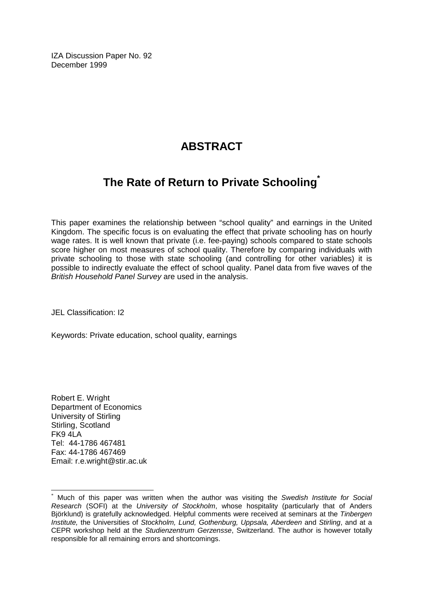IZA Discussion Paper No. 92 December 1999

## **ABSTRACT**

### **The Rate of Return to Private Schooling\***

This paper examines the relationship between "school quality" and earnings in the United Kingdom. The specific focus is on evaluating the effect that private schooling has on hourly wage rates. It is well known that private (i.e. fee-paying) schools compared to state schools score higher on most measures of school quality. Therefore by comparing individuals with private schooling to those with state schooling (and controlling for other variables) it is possible to indirectly evaluate the effect of school quality. Panel data from five waves of the British Household Panel Survey are used in the analysis.

JEL Classification: I2

Keywords: Private education, school quality, earnings

Robert E. Wright Department of Economics University of Stirling Stirling, Scotland  $FK9$  4 $\overline{A}$  A Tel: 44-1786 467481 Fax: 44-1786 467469 Email: r.e.wright@stir.ac.uk

 $\overline{a}$ 

Much of this paper was written when the author was visiting the Swedish Institute for Social Research (SOFI) at the University of Stockholm, whose hospitality (particularly that of Anders Björklund) is gratefully acknowledged. Helpful comments were received at seminars at the Tinbergen Institute, the Universities of Stockholm, Lund, Gothenburg, Uppsala, Aberdeen and Stirling, and at a CEPR workshop held at the Studienzentrum Gerzensse, Switzerland. The author is however totally responsible for all remaining errors and shortcomings.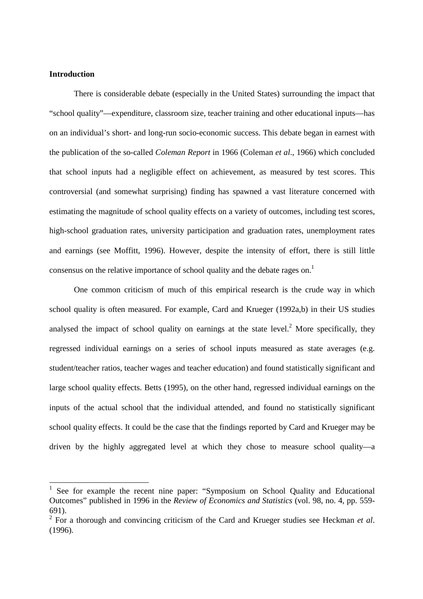#### **Introduction**

 $\overline{a}$ 

There is considerable debate (especially in the United States) surrounding the impact that "school quality"—expenditure, classroom size, teacher training and other educational inputs—has on an individual's short- and long-run socio-economic success. This debate began in earnest with the publication of the so-called *Coleman Report* in 1966 (Coleman *et al*., 1966) which concluded that school inputs had a negligible effect on achievement, as measured by test scores. This controversial (and somewhat surprising) finding has spawned a vast literature concerned with estimating the magnitude of school quality effects on a variety of outcomes, including test scores, high-school graduation rates, university participation and graduation rates, unemployment rates and earnings (see Moffitt, 1996). However, despite the intensity of effort, there is still little consensus on the relative importance of school quality and the debate rages on.<sup>1</sup>

One common criticism of much of this empirical research is the crude way in which school quality is often measured. For example, Card and Krueger (1992a,b) in their US studies analysed the impact of school quality on earnings at the state level.<sup>2</sup> More specifically, they regressed individual earnings on a series of school inputs measured as state averages (e.g. student/teacher ratios, teacher wages and teacher education) and found statistically significant and large school quality effects. Betts (1995), on the other hand, regressed individual earnings on the inputs of the actual school that the individual attended, and found no statistically significant school quality effects. It could be the case that the findings reported by Card and Krueger may be driven by the highly aggregated level at which they chose to measure school quality—a

<sup>1</sup> See for example the recent nine paper: "Symposium on School Quality and Educational Outcomes" published in 1996 in the *Review of Economics and Statistics* (vol. 98, no. 4, pp. 559- 691).

<sup>2</sup> For a thorough and convincing criticism of the Card and Krueger studies see Heckman *et al*. (1996).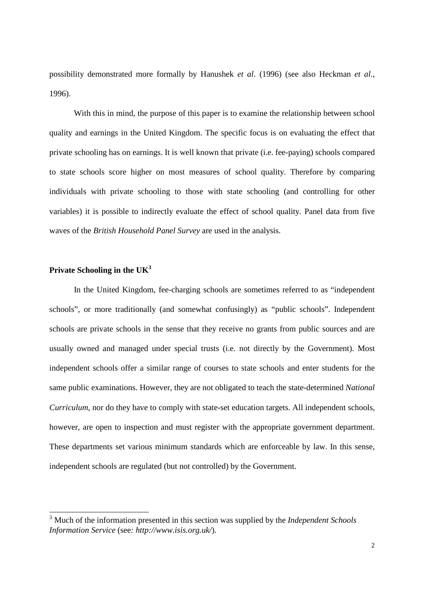possibility demonstrated more formally by Hanushek *et al*. (1996) (see also Heckman *et al*., 1996).

With this in mind, the purpose of this paper is to examine the relationship between school quality and earnings in the United Kingdom. The specific focus is on evaluating the effect that private schooling has on earnings. It is well known that private (i.e. fee-paying) schools compared to state schools score higher on most measures of school quality. Therefore by comparing individuals with private schooling to those with state schooling (and controlling for other variables) it is possible to indirectly evaluate the effect of school quality. Panel data from five waves of the *British Household Panel Survey* are used in the analysis.

#### **Private Schooling in the UK3**

 $\overline{a}$ 

 In the United Kingdom, fee-charging schools are sometimes referred to as "independent schools", or more traditionally (and somewhat confusingly) as "public schools". Independent schools are private schools in the sense that they receive no grants from public sources and are usually owned and managed under special trusts (i.e. not directly by the Government). Most independent schools offer a similar range of courses to state schools and enter students for the same public examinations. However, they are not obligated to teach the state-determined *National Curriculum*, nor do they have to comply with state-set education targets. All independent schools, however, are open to inspection and must register with the appropriate government department. These departments set various minimum standards which are enforceable by law. In this sense, independent schools are regulated (but not controlled) by the Government.

<sup>3</sup> Much of the information presented in this section was supplied by the *Independent Schools Information Service* (see*: http://www.isis.org.uk/*).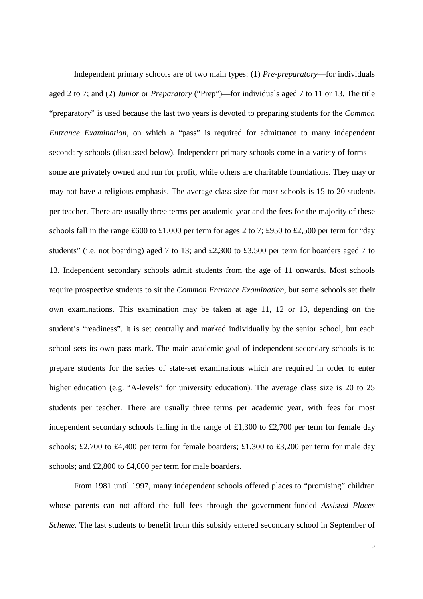Independent primary schools are of two main types: (1) *Pre-preparatory*—for individuals aged 2 to 7; and (2) *Junior* or *Preparatory* ("Prep")—for individuals aged 7 to 11 or 13. The title "preparatory" is used because the last two years is devoted to preparing students for the *Common Entrance Examination*, on which a "pass" is required for admittance to many independent secondary schools (discussed below). Independent primary schools come in a variety of forms some are privately owned and run for profit, while others are charitable foundations. They may or may not have a religious emphasis. The average class size for most schools is 15 to 20 students per teacher. There are usually three terms per academic year and the fees for the majority of these schools fall in the range £600 to £1,000 per term for ages 2 to 7; £950 to £2,500 per term for "day students" (i.e. not boarding) aged 7 to 13; and £2,300 to £3,500 per term for boarders aged 7 to 13. Independent secondary schools admit students from the age of 11 onwards. Most schools require prospective students to sit the *Common Entrance Examination*, but some schools set their own examinations. This examination may be taken at age 11, 12 or 13, depending on the student's "readiness". It is set centrally and marked individually by the senior school, but each school sets its own pass mark. The main academic goal of independent secondary schools is to prepare students for the series of state-set examinations which are required in order to enter higher education (e.g. "A-levels" for university education). The average class size is 20 to 25 students per teacher. There are usually three terms per academic year, with fees for most independent secondary schools falling in the range of £1,300 to £2,700 per term for female day schools; £2,700 to £4,400 per term for female boarders; £1,300 to £3,200 per term for male day schools; and £2,800 to £4,600 per term for male boarders.

From 1981 until 1997, many independent schools offered places to "promising" children whose parents can not afford the full fees through the government-funded *Assisted Places Scheme*. The last students to benefit from this subsidy entered secondary school in September of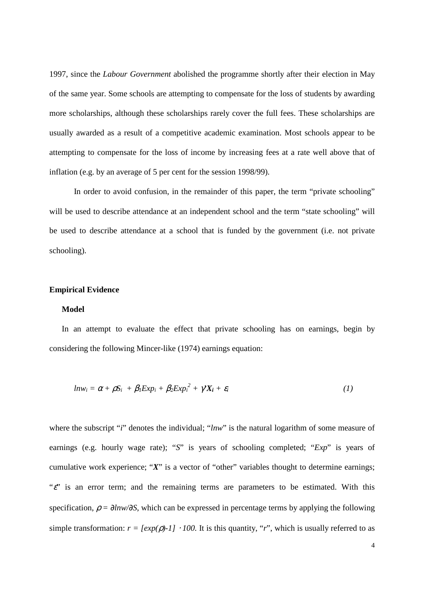1997, since the *Labour Government* abolished the programme shortly after their election in May of the same year. Some schools are attempting to compensate for the loss of students by awarding more scholarships, although these scholarships rarely cover the full fees. These scholarships are usually awarded as a result of a competitive academic examination. Most schools appear to be attempting to compensate for the loss of income by increasing fees at a rate well above that of inflation (e.g. by an average of 5 per cent for the session 1998/99).

In order to avoid confusion, in the remainder of this paper, the term "private schooling" will be used to describe attendance at an independent school and the term "state schooling" will be used to describe attendance at a school that is funded by the government (i.e. not private schooling).

#### **Empirical Evidence**

#### **Model**

In an attempt to evaluate the effect that private schooling has on earnings, begin by considering the following Mincer-like (1974) earnings equation:

$$
ln w_i = \alpha + \rho S_i + \beta_l Exp_i + \beta_2 Exp_i^2 + \gamma X_i + \varepsilon_i
$$
 (1)

where the subscript "*i*" denotes the individual; "*lnw*" is the natural logarithm of some measure of earnings (e.g. hourly wage rate); "*S*" is years of schooling completed; "*Exp*" is years of cumulative work experience; "X" is a vector of "other" variables thought to determine earnings; " $\varepsilon$ " is an error term; and the remaining terms are parameters to be estimated. With this specification,  $\rho = \frac{\partial \ln w}{\partial S}$ , which can be expressed in percentage terms by applying the following simple transformation:  $r = [exp(\rho) - 1] \cdot 100$ . It is this quantity, "*r*", which is usually referred to as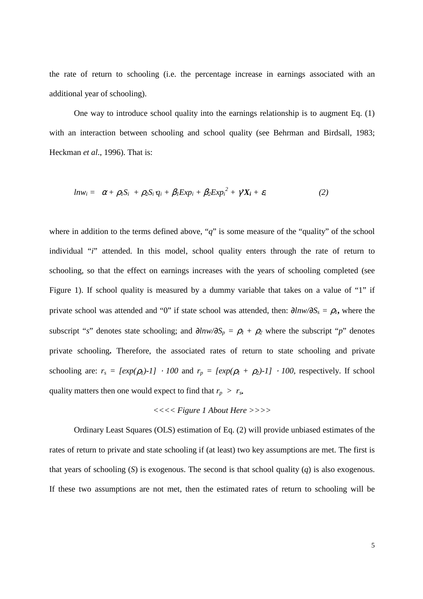the rate of return to schooling (i.e. the percentage increase in earnings associated with an additional year of schooling).

 One way to introduce school quality into the earnings relationship is to augment Eq. (1) with an interaction between schooling and school quality (see Behrman and Birdsall, 1983; Heckman *et al*., 1996). That is:

$$
ln w_i = \alpha + \rho_1 S_i + \rho_2 S_i \cdot q_i + \beta_1 Exp_i + \beta_2 Exp_i^2 + \gamma^2 X_i + \varepsilon_i \tag{2}
$$

where in addition to the terms defined above, "*q*" is some measure of the "quality" of the school individual "*i*" attended. In this model, school quality enters through the rate of return to schooling, so that the effect on earnings increases with the years of schooling completed (see Figure 1). If school quality is measured by a dummy variable that takes on a value of "1" if private school was attended and "0" if state school was attended, then:  $\frac{\partial \ln w}{\partial S_s} = \rho_l$ , where the subscript "*s*" denotes state schooling; and  $\partial lnw/\partial S_p = \rho_1 + \rho_2$  where the subscript "*p*" denotes private schooling**.** Therefore, the associated rates of return to state schooling and private schooling are:  $r_s = [exp(\rho_l) - 1] \cdot 100$  and  $r_p = [exp(\rho_l + \rho_2) - 1] \cdot 100$ , respectively. If school quality matters then one would expect to find that  $r_p > r_s$ .

#### *<<<< Figure 1 About Here >>>>*

 Ordinary Least Squares (OLS) estimation of Eq. (2) will provide unbiased estimates of the rates of return to private and state schooling if (at least) two key assumptions are met. The first is that years of schooling (*S*) is exogenous. The second is that school quality (*q*) is also exogenous. If these two assumptions are not met, then the estimated rates of return to schooling will be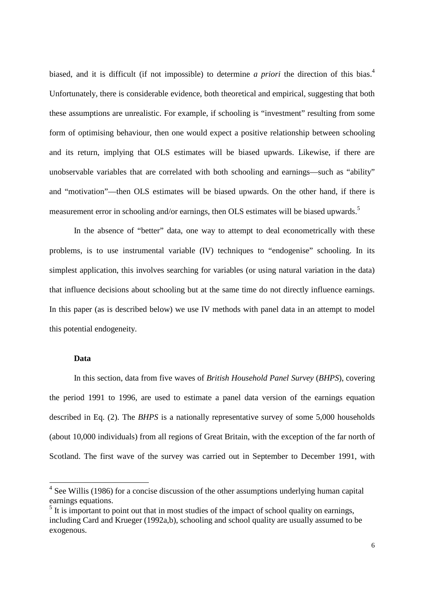biased, and it is difficult (if not impossible) to determine *a priori* the direction of this bias.<sup>4</sup> Unfortunately, there is considerable evidence, both theoretical and empirical, suggesting that both these assumptions are unrealistic. For example, if schooling is "investment" resulting from some form of optimising behaviour, then one would expect a positive relationship between schooling and its return, implying that OLS estimates will be biased upwards. Likewise, if there are unobservable variables that are correlated with both schooling and earnings—such as "ability" and "motivation"—then OLS estimates will be biased upwards. On the other hand, if there is measurement error in schooling and/or earnings, then OLS estimates will be biased upwards.<sup>5</sup>

In the absence of "better" data, one way to attempt to deal econometrically with these problems, is to use instrumental variable (IV) techniques to "endogenise" schooling. In its simplest application, this involves searching for variables (or using natural variation in the data) that influence decisions about schooling but at the same time do not directly influence earnings. In this paper (as is described below) we use IV methods with panel data in an attempt to model this potential endogeneity.

#### **Data**

 $\overline{a}$ 

In this section, data from five waves of *British Household Panel Survey* (*BHPS*), covering the period 1991 to 1996, are used to estimate a panel data version of the earnings equation described in Eq. (2). The *BHPS* is a nationally representative survey of some 5,000 households (about 10,000 individuals) from all regions of Great Britain, with the exception of the far north of Scotland. The first wave of the survey was carried out in September to December 1991, with

<sup>&</sup>lt;sup>4</sup> See Willis (1986) for a concise discussion of the other assumptions underlying human capital earnings equations.

 $<sup>5</sup>$  It is important to point out that in most studies of the impact of school quality on earnings,</sup> including Card and Krueger (1992a,b), schooling and school quality are usually assumed to be exogenous.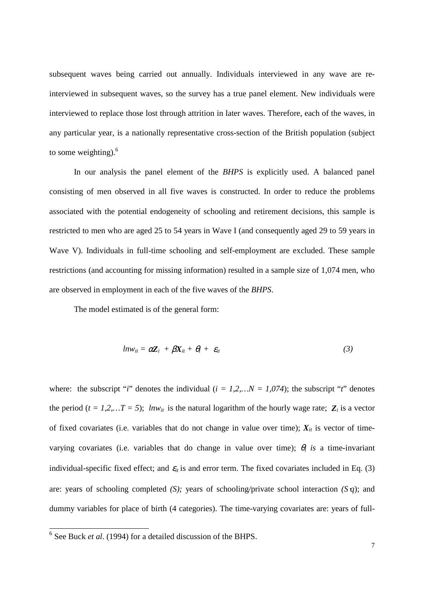subsequent waves being carried out annually. Individuals interviewed in any wave are reinterviewed in subsequent waves, so the survey has a true panel element. New individuals were interviewed to replace those lost through attrition in later waves. Therefore, each of the waves, in any particular year, is a nationally representative cross-section of the British population (subject to some weighting). $6$ 

 In our analysis the panel element of the *BHPS* is explicitly used. A balanced panel consisting of men observed in all five waves is constructed. In order to reduce the problems associated with the potential endogeneity of schooling and retirement decisions, this sample is restricted to men who are aged 25 to 54 years in Wave I (and consequently aged 29 to 59 years in Wave V). Individuals in full-time schooling and self-employment are excluded. These sample restrictions (and accounting for missing information) resulted in a sample size of 1,074 men, who are observed in employment in each of the five waves of the *BHPS*.

The model estimated is of the general form:

$$
ln w_{it} = \alpha Z_i + \beta X_{it} + \theta_i + \varepsilon_{it} \tag{3}
$$

where: the subscript "*i*" denotes the individual  $(i = 1, 2, ... N = 1,074)$ ; the subscript "*t*" denotes the period ( $t = 1, 2, \ldots T = 5$ ); *lnw<sub>it</sub>* is the natural logarithm of the hourly wage rate;  $\mathbf{Z}_i$  is a vector of fixed covariates (i.e. variables that do not change in value over time);  $X_{it}$  is vector of timevarying covariates (i.e. variables that do change in value over time);  $\theta_i$  is a time-invariant individual-specific fixed effect; and  $\varepsilon$ <sub>*it*</sub> is and error term. The fixed covariates included in Eq. (3) are: years of schooling completed *(S);* years of schooling*/*private school interaction *(S*⋅*q*); and dummy variables for place of birth (4 categories). The time-varying covariates are: years of full-

 $\overline{a}$ 

<sup>6</sup> See Buck *et al*. (1994) for a detailed discussion of the BHPS.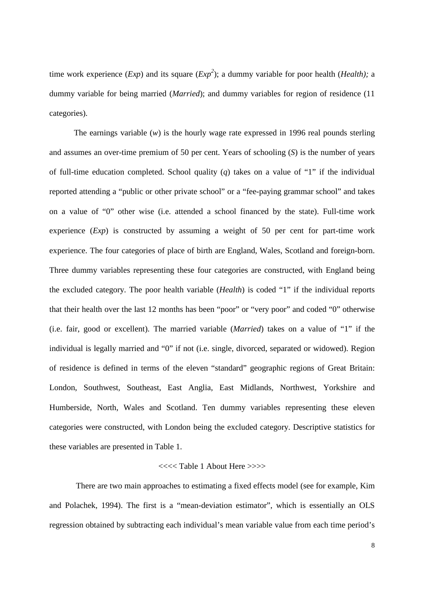time work experience (*Exp*) and its square (*Exp<sup>2</sup>* ); a dummy variable for poor health (*Health);* a dummy variable for being married (*Married*); and dummy variables for region of residence (11 categories).

 The earnings variable (*w*) is the hourly wage rate expressed in 1996 real pounds sterling and assumes an over-time premium of 50 per cent. Years of schooling (*S*) is the number of years of full-time education completed. School quality (*q*) takes on a value of "1" if the individual reported attending a "public or other private school" or a "fee-paying grammar school" and takes on a value of "0" other wise (i.e. attended a school financed by the state). Full-time work experience (*Exp*) is constructed by assuming a weight of 50 per cent for part-time work experience. The four categories of place of birth are England, Wales, Scotland and foreign-born. Three dummy variables representing these four categories are constructed, with England being the excluded category. The poor health variable (*Health*) is coded "1" if the individual reports that their health over the last 12 months has been "poor" or "very poor" and coded "0" otherwise (i.e. fair, good or excellent). The married variable (*Married*) takes on a value of "1" if the individual is legally married and "0" if not (i.e. single, divorced, separated or widowed). Region of residence is defined in terms of the eleven "standard" geographic regions of Great Britain: London, Southwest, Southeast, East Anglia, East Midlands, Northwest, Yorkshire and Humberside, North, Wales and Scotland. Ten dummy variables representing these eleven categories were constructed, with London being the excluded category. Descriptive statistics for these variables are presented in Table 1.

#### <<<< Table 1 About Here >>>>

 There are two main approaches to estimating a fixed effects model (see for example, Kim and Polachek, 1994). The first is a "mean-deviation estimator", which is essentially an OLS regression obtained by subtracting each individual's mean variable value from each time period's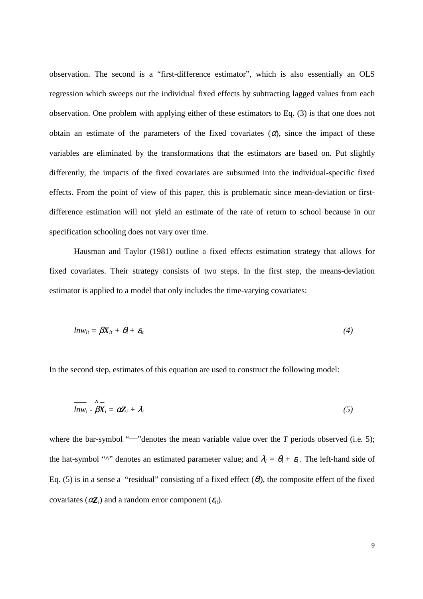observation. The second is a "first-difference estimator", which is also essentially an OLS regression which sweeps out the individual fixed effects by subtracting lagged values from each observation. One problem with applying either of these estimators to Eq. (3) is that one does not obtain an estimate of the parameters of the fixed covariates  $(\alpha)$ , since the impact of these variables are eliminated by the transformations that the estimators are based on. Put slightly differently, the impacts of the fixed covariates are subsumed into the individual-specific fixed effects. From the point of view of this paper, this is problematic since mean-deviation or firstdifference estimation will not yield an estimate of the rate of return to school because in our specification schooling does not vary over time.

Hausman and Taylor (1981) outline a fixed effects estimation strategy that allows for fixed covariates. Their strategy consists of two steps. In the first step, the means-deviation estimator is applied to a model that only includes the time-varying covariates:

$$
ln w_{it} = \beta X_{it} + \theta_i + \varepsilon_{it} \tag{4}
$$

In the second step, estimates of this equation are used to construct the following model:

$$
\overline{lnw_i} - \overset{\wedge}{\beta X_i} = \alpha Z_i + \lambda_i \tag{5}
$$

where the bar-symbol " $\rightarrow$ "denotes the mean variable value over the *T* periods observed (i.e. 5); the hat-symbol "<sup> $\wedge$ " denotes an estimated parameter value; and  $\lambda_i = \theta_i + \varepsilon_i$ . The left-hand side of</sup> Eq. (5) is in a sense a "residual" consisting of a fixed effect  $(\theta_i)$ , the composite effect of the fixed covariates ( $\alpha Z_i$ ) and a random error component ( $\varepsilon_{it}$ ).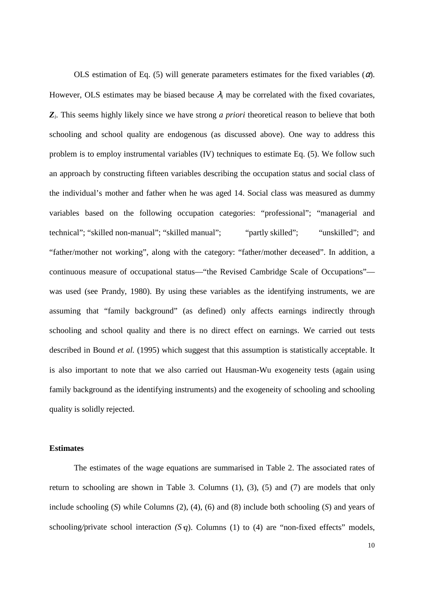OLS estimation of Eq. (5) will generate parameters estimates for the fixed variables  $(\alpha)$ . However, OLS estimates may be biased because  $\lambda_i$  may be correlated with the fixed covariates, *Zi*. This seems highly likely since we have strong *a priori* theoretical reason to believe that both schooling and school quality are endogenous (as discussed above). One way to address this problem is to employ instrumental variables (IV) techniques to estimate Eq. (5). We follow such an approach by constructing fifteen variables describing the occupation status and social class of the individual's mother and father when he was aged 14. Social class was measured as dummy variables based on the following occupation categories: "professional"; "managerial and technical"; "skilled non-manual"; "skilled manual"; "partly skilled"; "unskilled"; and "father/mother not working", along with the category: "father/mother deceased". In addition, a continuous measure of occupational status—"the Revised Cambridge Scale of Occupations" was used (see Prandy, 1980). By using these variables as the identifying instruments, we are assuming that "family background" (as defined) only affects earnings indirectly through schooling and school quality and there is no direct effect on earnings. We carried out tests described in Bound *et al.* (1995) which suggest that this assumption is statistically acceptable. It is also important to note that we also carried out Hausman-Wu exogeneity tests (again using family background as the identifying instruments) and the exogeneity of schooling and schooling quality is solidly rejected.

#### **Estimates**

 The estimates of the wage equations are summarised in Table 2. The associated rates of return to schooling are shown in Table 3. Columns (1), (3), (5) and (7) are models that only include schooling (*S*) while Columns (2), (4), (6) and (8) include both schooling (*S*) and years of schooling*/*private school interaction *(S*⋅*q*). Columns (1) to (4) are "non-fixed effects" models,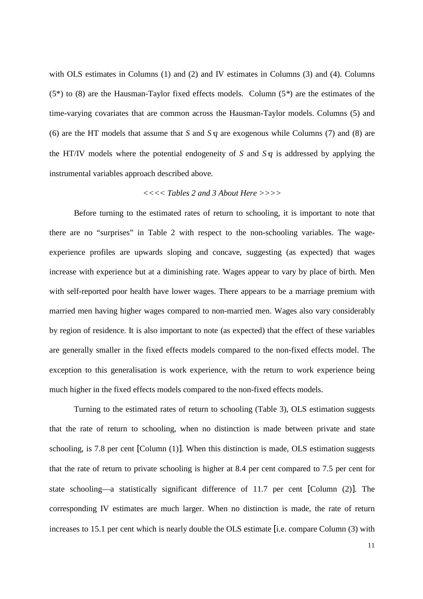with OLS estimates in Columns (1) and (2) and IV estimates in Columns (3) and (4). Columns (5\*) to (8) are the Hausman-Taylor fixed effects models. Column (5*\**) are the estimates of the time-varying covariates that are common across the Hausman-Taylor models. Columns (5) and (6) are the HT models that assume that *S* and *S*⋅*q* are exogenous while Columns (7) and (8) are the HT/IV models where the potential endogeneity of *S* and *S*⋅*q* is addressed by applying the instrumental variables approach described above.

#### *<<<< Tables 2 and 3 About Here >>>>*

 Before turning to the estimated rates of return to schooling, it is important to note that there are no "surprises" in Table 2 with respect to the non-schooling variables. The wageexperience profiles are upwards sloping and concave, suggesting (as expected) that wages increase with experience but at a diminishing rate. Wages appear to vary by place of birth. Men with self-reported poor health have lower wages. There appears to be a marriage premium with married men having higher wages compared to non-married men. Wages also vary considerably by region of residence. It is also important to note (as expected) that the effect of these variables are generally smaller in the fixed effects models compared to the non-fixed effects model. The exception to this generalisation is work experience, with the return to work experience being much higher in the fixed effects models compared to the non-fixed effects models.

 Turning to the estimated rates of return to schooling (Table 3), OLS estimation suggests that the rate of return to schooling, when no distinction is made between private and state schooling, is 7.8 per cent [Column (1)]. When this distinction is made, OLS estimation suggests that the rate of return to private schooling is higher at 8.4 per cent compared to 7.5 per cent for state schooling—a statistically significant difference of 11.7 per cent [Column (2)]. The corresponding IV estimates are much larger. When no distinction is made, the rate of return increases to 15.1 per cent which is nearly double the OLS estimate [i.e. compare Column (3) with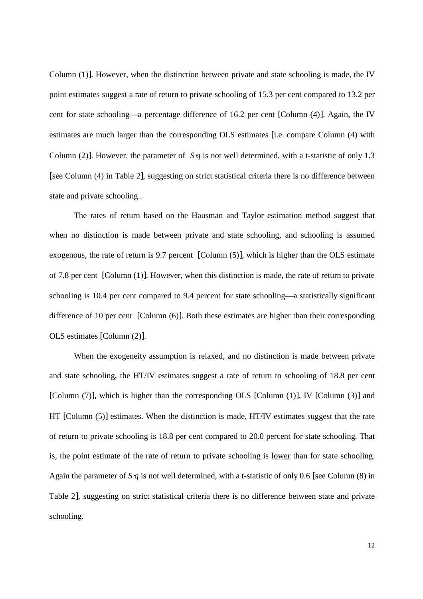Column (1)]. However, when the distinction between private and state schooling is made, the IV point estimates suggest a rate of return to private schooling of 15.3 per cent compared to 13.2 per cent for state schooling—a percentage difference of 16.2 per cent [Column (4)]. Again, the IV estimates are much larger than the corresponding OLS estimates [i.e. compare Column (4) with Column (2)]. However, the parameter of *S*  $q$  is not well determined, with a t-statistic of only 1.3 [see Column (4) in Table 2], suggesting on strict statistical criteria there is no difference between state and private schooling .

 The rates of return based on the Hausman and Taylor estimation method suggest that when no distinction is made between private and state schooling, and schooling is assumed exogenous, the rate of return is 9.7 percent [Column (5)], which is higher than the OLS estimate of 7.8 per cent [Column (1)]. However, when this distinction is made, the rate of return to private schooling is 10.4 per cent compared to 9.4 percent for state schooling—a statistically significant difference of 10 per cent [Column (6)]. Both these estimates are higher than their corresponding OLS estimates [Column (2)].

When the exogeneity assumption is relaxed, and no distinction is made between private and state schooling, the HT/IV estimates suggest a rate of return to schooling of 18.8 per cent [Column (7)], which is higher than the corresponding OLS [Column (1)], IV [Column (3)] and HT [Column (5)] estimates. When the distinction is made, HT/IV estimates suggest that the rate of return to private schooling is 18.8 per cent compared to 20.0 percent for state schooling. That is, the point estimate of the rate of return to private schooling is lower than for state schooling. Again the parameter of *S*⋅*q* is not well determined, with a t-statistic of only 0.6 [see Column (8) in Table 2], suggesting on strict statistical criteria there is no difference between state and private schooling.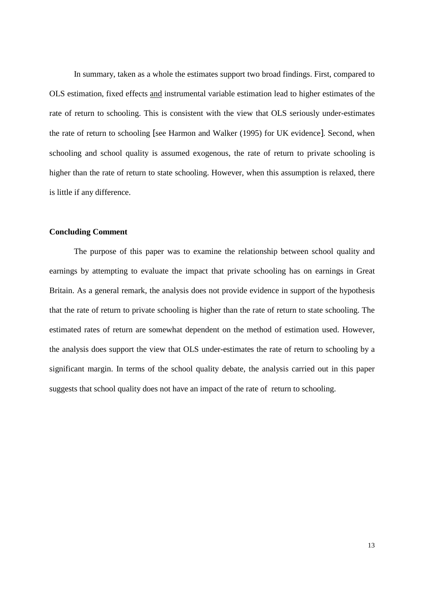In summary, taken as a whole the estimates support two broad findings. First, compared to OLS estimation, fixed effects and instrumental variable estimation lead to higher estimates of the rate of return to schooling. This is consistent with the view that OLS seriously under-estimates the rate of return to schooling [see Harmon and Walker (1995) for UK evidence]. Second, when schooling and school quality is assumed exogenous, the rate of return to private schooling is higher than the rate of return to state schooling. However, when this assumption is relaxed, there is little if any difference.

#### **Concluding Comment**

 The purpose of this paper was to examine the relationship between school quality and earnings by attempting to evaluate the impact that private schooling has on earnings in Great Britain. As a general remark, the analysis does not provide evidence in support of the hypothesis that the rate of return to private schooling is higher than the rate of return to state schooling. The estimated rates of return are somewhat dependent on the method of estimation used. However, the analysis does support the view that OLS under-estimates the rate of return to schooling by a significant margin. In terms of the school quality debate, the analysis carried out in this paper suggests that school quality does not have an impact of the rate of return to schooling.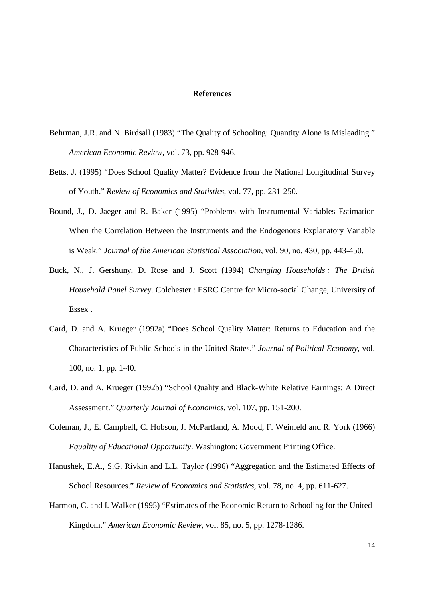#### **References**

- Behrman, J.R. and N. Birdsall (1983) "The Quality of Schooling: Quantity Alone is Misleading." *American Economic Review*, vol. 73, pp. 928-946.
- Betts, J. (1995) "Does School Quality Matter? Evidence from the National Longitudinal Survey of Youth." *Review of Economics and Statistics*, vol. 77, pp. 231-250.
- Bound, J., D. Jaeger and R. Baker (1995) "Problems with Instrumental Variables Estimation When the Correlation Between the Instruments and the Endogenous Explanatory Variable is Weak." *Journal of the American Statistical Association*, vol. 90, no. 430, pp. 443-450.
- Buck, N., J. Gershuny, D. Rose and J. Scott (1994) *Changing Households : The British Household Panel Survey*. Colchester : ESRC Centre for Micro-social Change, University of Essex .
- Card, D. and A. Krueger (1992a) "Does School Quality Matter: Returns to Education and the Characteristics of Public Schools in the United States." *Journal of Political Economy*, vol. 100, no. 1, pp. 1-40.
- Card, D. and A. Krueger (1992b) "School Quality and Black-White Relative Earnings: A Direct Assessment." *Quarterly Journal of Economics*, vol. 107, pp. 151-200.
- Coleman, J., E. Campbell, C. Hobson, J. McPartland, A. Mood, F. Weinfeld and R. York (1966) *Equality of Educational Opportunity*. Washington: Government Printing Office.
- Hanushek, E.A., S.G. Rivkin and L.L. Taylor (1996) "Aggregation and the Estimated Effects of School Resources." *Review o*f *Economics and Statistics*, vol. 78, no. 4, pp. 611-627.
- Harmon, C. and I. Walker (1995) "Estimates of the Economic Return to Schooling for the United Kingdom." *American Economic Review*, vol. 85, no. 5, pp. 1278-1286.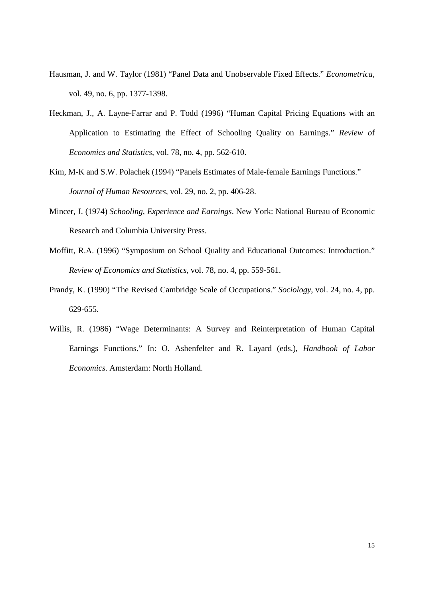- Hausman, J. and W. Taylor (1981) "Panel Data and Unobservable Fixed Effects." *Econometrica*, vol. 49, no. 6, pp. 1377-1398.
- Heckman, J., A. Layne-Farrar and P. Todd (1996) "Human Capital Pricing Equations with an Application to Estimating the Effect of Schooling Quality on Earnings." *Review o*f *Economics and Statistics*, vol. 78, no. 4, pp. 562-610.
- Kim, M-K and S.W. Polachek (1994) "Panels Estimates of Male-female Earnings Functions." *Journal of Human Resources*, vol. 29, no. 2, pp. 406-28.
- Mincer, J. (1974) *Schooling, Experience and Earnings*. New York: National Bureau of Economic Research and Columbia University Press.
- Moffitt, R.A. (1996) "Symposium on School Quality and Educational Outcomes: Introduction." *Review of Economics and Statistics*, vol. 78, no. 4, pp. 559-561.
- Prandy, K. (1990) "The Revised Cambridge Scale of Occupations." *Sociology*, vol. 24, no. 4, pp. 629-655.
- Willis, R. (1986) "Wage Determinants: A Survey and Reinterpretation of Human Capital Earnings Functions." In: O. Ashenfelter and R. Layard (eds.), *Handbook of Labor Economics*. Amsterdam: North Holland.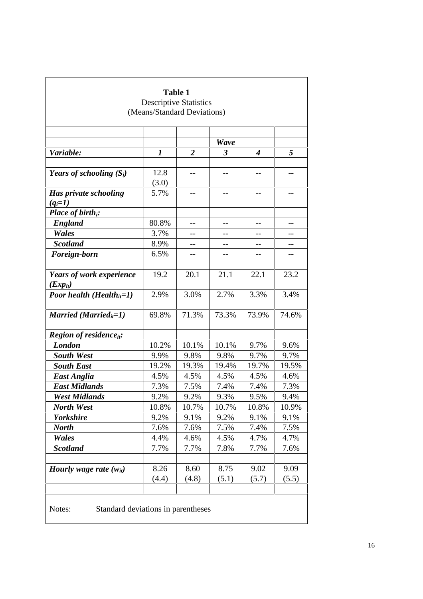|                                              | <b>Descriptive Statistics</b> |                   |             |                  |       |  |  |  |  |
|----------------------------------------------|-------------------------------|-------------------|-------------|------------------|-------|--|--|--|--|
|                                              | (Means/Standard Deviations)   |                   |             |                  |       |  |  |  |  |
|                                              |                               |                   |             |                  |       |  |  |  |  |
|                                              |                               |                   | <b>Wave</b> |                  |       |  |  |  |  |
| Variable:                                    | 1                             | $\boldsymbol{2}$  | 3           | $\boldsymbol{4}$ | 5     |  |  |  |  |
|                                              |                               |                   |             |                  |       |  |  |  |  |
| Years of schooling $(S_i)$                   | 12.8<br>(3.0)                 |                   |             |                  |       |  |  |  |  |
| Has private schooling                        | 5.7%                          | $\qquad \qquad -$ | $- -$       | --               | --    |  |  |  |  |
| $(q_i=1)$                                    |                               |                   |             |                  |       |  |  |  |  |
| Place of birth <sub>i</sub> :                |                               |                   |             |                  |       |  |  |  |  |
| <b>England</b>                               | 80.8%                         |                   |             |                  |       |  |  |  |  |
| Wales                                        | 3.7%                          |                   |             | --               |       |  |  |  |  |
| <b>Scotland</b>                              | 8.9%                          | --                |             | --               | --    |  |  |  |  |
| Foreign-born                                 | 6.5%                          |                   |             |                  |       |  |  |  |  |
| Years of work experience                     | 19.2                          | 20.1              | 21.1        | 22.1             | 23.2  |  |  |  |  |
| $(EXp_{it})$                                 |                               |                   |             |                  |       |  |  |  |  |
| <b>Poor health (Health</b> <sub>it</sub> =1) | 2.9%                          | 3.0%              | 2.7%        | 3.3%             | 3.4%  |  |  |  |  |
| Married (Married <sub>it</sub> =1)           | 69.8%                         | 71.3%             | 73.3%       | 73.9%            | 74.6% |  |  |  |  |
| <b>Region of residence</b> <sub>it</sub> :   |                               |                   |             |                  |       |  |  |  |  |
| <b>London</b>                                | 10.2%                         | 10.1%             | 10.1%       | 9.7%             | 9.6%  |  |  |  |  |
| <b>South West</b>                            | 9.9%                          | 9.8%              | 9.8%        | 9.7%             | 9.7%  |  |  |  |  |
| <b>South East</b>                            | 19.2%                         | 19.3%             | 19.4%       | 19.7%            | 19.5% |  |  |  |  |
| <b>East Anglia</b>                           | 4.5%                          | 4.5%              | 4.5%        | 4.5%             | 4.6%  |  |  |  |  |
| <b>East Midlands</b>                         | 7.3%                          | 7.5%              | 7.4%        | 7.4%             | 7.3%  |  |  |  |  |
| West Midlands                                | 9.2%                          | 9.2%              | 9.3%        | 9.5%             | 9.4%  |  |  |  |  |
| <b>North West</b>                            | 10.8%                         | 10.7%             | 10.7%       | 10.8%            | 10.9% |  |  |  |  |
| <b>Yorkshire</b>                             | 9.2%                          | 9.1%              | 9.2%        | 9.1%             | 9.1%  |  |  |  |  |
| <b>North</b>                                 | 7.6%                          | 7.6%              | 7.5%        | 7.4%             | 7.5%  |  |  |  |  |
| Wales                                        | 4.4%                          | 4.6%              | 4.5%        | 4.7%             | 4.7%  |  |  |  |  |
| <b>Scotland</b>                              | 7.7%                          | 7.7%              | 7.8%        | 7.7%             | 7.6%  |  |  |  |  |
|                                              |                               |                   |             |                  |       |  |  |  |  |
| Hourly wage rate $(w_{it})$                  | 8.26                          | 8.60              | 8.75        | 9.02             | 9.09  |  |  |  |  |
|                                              | (4.4)                         | (4.8)             | (5.1)       | (5.7)            | (5.5) |  |  |  |  |
|                                              |                               |                   |             |                  |       |  |  |  |  |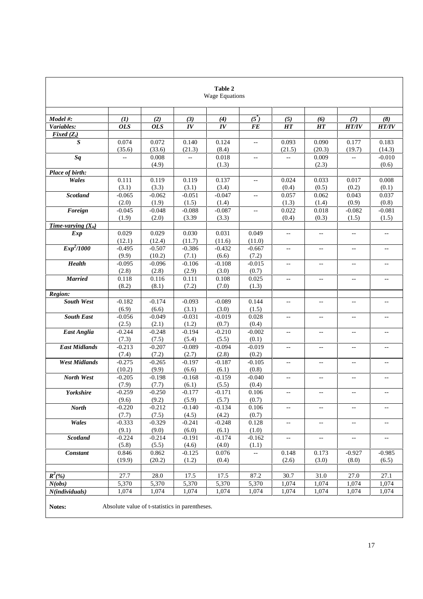| Table 2<br><b>Wage Equations</b>                         |                   |                   |                   |                   |                          |                                               |                           |                          |                          |
|----------------------------------------------------------|-------------------|-------------------|-------------------|-------------------|--------------------------|-----------------------------------------------|---------------------------|--------------------------|--------------------------|
|                                                          |                   |                   |                   |                   |                          |                                               |                           |                          |                          |
| Model #:                                                 | (1)               | (2)               | (3)               | (4)               | $(5^*)$                  | (5)                                           | (6)                       | (7)                      | (8)                      |
| Variables:                                               | <b>OLS</b>        | <b>OLS</b>        | IV                | IV                | FE                       | <b>HT</b>                                     | <b>HT</b>                 | <b>HT/IV</b>             | <b>HT/IV</b>             |
| Fixed $(Z_i)$                                            |                   |                   |                   |                   |                          |                                               |                           |                          |                          |
| S                                                        | 0.074<br>(35.6)   | 0.072<br>(33.6)   | 0.140<br>(21.3)   | 0.124<br>(8.4)    | $\overline{a}$           | 0.093<br>(21.5)                               | 0.090<br>(20.3)           | 0.177<br>(19.7)          | 0.183<br>(14.3)          |
| Sq                                                       | $\overline{a}$    | 0.008             | Ξ.                | 0.018             | $\overline{a}$           | $-$                                           | 0.009                     | Ξ.                       | $-0.010$                 |
|                                                          |                   | (4.9)             |                   | (1.3)             |                          |                                               | (2.3)                     |                          | (0.6)                    |
| Place of birth:                                          |                   |                   |                   |                   |                          |                                               |                           |                          |                          |
| Wales                                                    | 0.111             | 0.119             | 0.119             | 0.137             | $\overline{a}$           | 0.024                                         | 0.033                     | 0.017                    | 0.008                    |
|                                                          | (3.1)             | (3.3)             | (3.1)             | (3.4)             |                          | (0.4)                                         | (0.5)                     | (0.2)                    | (0.1)                    |
| <b>Scotland</b>                                          | $-0.065$          | $-0.062$          | $-0.051$          | $-0.047$          | $\overline{\phantom{a}}$ | 0.057                                         | 0.062                     | 0.043                    | 0.037                    |
|                                                          | (2.0)             | (1.9)             | (1.5)             | (1.4)             |                          | (1.3)                                         | (1.4)                     | (0.9)                    | (0.8)                    |
| Foreign                                                  | $-0.045$          | $-0.048$          | $-0.088$          | $-0.087$          | $\overline{a}$           | 0.022                                         | 0.018                     | $-0.082$                 | $-0.081$                 |
|                                                          | (1.9)             | (2.0)             | (3.39)            | (3.3)             |                          | (0.4)                                         | (0.3)                     | (1.5)                    | (1.5)                    |
| Time-varying $(X_{it})$                                  |                   |                   |                   |                   |                          |                                               |                           |                          |                          |
| Exp                                                      | 0.029             | 0.029             | 0.030             | 0.031             | 0.049                    | $\overline{a}$                                | $\overline{a}$            | $\overline{\phantom{a}}$ | $\overline{a}$           |
|                                                          | (12.1)            | (12.4)            | (11.7)            | (11.6)            | (11.0)                   |                                               |                           |                          |                          |
| Exp <sup>2</sup> /1000                                   | $-0.495$          | $-0.507$          | $-0.386$          | $-0.432$          | $-0.667$                 | $-$                                           | $\mathbf{u}$              | $-$                      | $\overline{a}$           |
|                                                          | (9.9)             | (10.2)            | (7.1)             | (6.6)             | (7.2)                    |                                               |                           |                          |                          |
| <b>Health</b>                                            | $-0.095$          | $-0.096$          | $-0.106$          | $-0.108$          | $-0.015$                 | $-$                                           | $\mathbb{L}^{\mathbb{L}}$ | $\overline{\phantom{a}}$ | Ц.                       |
|                                                          | (2.8)             | (2.8)             | (2.9)             | (3.0)             | (0.7)                    |                                               |                           |                          |                          |
| <b>Married</b>                                           | 0.118             | 0.116             | 0.111             | 0.108             | 0.025                    | $-$                                           | $\overline{\phantom{a}}$  | $\mathbf{u}$             | $\overline{a}$           |
|                                                          | (8.2)             | (8.1)             | (7.2)             | (7.0)             | (1.3)                    |                                               |                           |                          |                          |
| Region:                                                  |                   |                   |                   |                   |                          |                                               |                           |                          |                          |
| <b>South West</b>                                        | $-0.182$          | $-0.174$          | $-0.093$          | $-0.089$          | 0.144                    | $- -$                                         | $-$                       | $-$                      |                          |
|                                                          | (6.9)             | (6.6)             | (3.1)             | (3.0)             | (1.5)                    |                                               |                           |                          |                          |
| <b>South East</b>                                        | $-0.056$          | $-0.049$          | $-0.031$          | $-0.019$          | 0.028                    | $\overline{a}$                                | $\mathbf{u}$              | $-$                      | $\overline{a}$           |
|                                                          | (2.5)             | (2.1)             | (1.2)             | (0.7)             | (0.4)                    |                                               |                           |                          |                          |
| <b>East Anglia</b>                                       | $-0.244$          | $-0.248$          | $-0.194$          | $-0.210$          | $-0.002$                 | ц,                                            | $\overline{\phantom{a}}$  | $\overline{\phantom{a}}$ | ÷-                       |
|                                                          | (7.3)             | (7.5)             | (5.4)             | (5.5)             | (0.1)                    |                                               |                           |                          |                          |
| <b>East Midlands</b>                                     | $-0.213$          | $-0.207$          | $-0.089$          | $-0.094$          | $-0.019$                 | $-$                                           | $\overline{\phantom{a}}$  | $\overline{\phantom{a}}$ | $\overline{a}$           |
|                                                          | (7.4)             | (7.2)             | (2.7)             | (2.8)             | (0.2)                    |                                               |                           |                          |                          |
| <b>West Midlands</b>                                     | $-0.275$          | $-0.265$          | $-0.197$          | $-0.187$          | $-0.105$                 | $-$                                           | $\mathbf{u}$              | $-$                      | $\sim$                   |
|                                                          | (10.2)            | (9.9)             | (6.6)             | (6.1)             | (0.8)                    |                                               |                           |                          |                          |
| North West                                               | $-0.205$          | $-0.198$          | $-0.168$          | $-0.159$          | $-0.040$                 | $- -$                                         | $\overline{\phantom{a}}$  | $\overline{\phantom{a}}$ | $-$                      |
|                                                          | (7.9)<br>$-0.259$ | (7.7)<br>$-0.250$ | (6.1)             | (5.5)<br>$-0.171$ | (0.4)                    |                                               |                           |                          |                          |
| Yorkshire                                                | (9.6)             | (9.2)             | $-0.177$<br>(5.9) | (5.7)             | 0.106<br>(0.7)           |                                               | $-$                       | $\overline{a}$           |                          |
| <b>North</b>                                             | $-0.220$          | $-0.212$          | $-0.140$          | $-0.134$          | 0.106                    | $\mathord{\hspace{1pt}\text{--}\hspace{1pt}}$ | $\overline{\phantom{a}}$  | $\overline{\phantom{a}}$ | $\overline{\phantom{a}}$ |
|                                                          | (7.7)             | (7.5)             | (4.5)             | (4.2)             | (0.7)                    |                                               |                           |                          |                          |
| Wales                                                    | $-0.333$          | $-0.329$          | $-0.241$          | $-0.248$          | 0.128                    | --                                            | $-\, -$                   | $\qquad \qquad -$        | --                       |
|                                                          | (9.1)             | (9.0)             | (6.0)             | (6.1)             | (1.0)                    |                                               |                           |                          |                          |
| <b>Scotland</b>                                          | $-0.224$          | $-0.214$          | $-0.191$          | $-0.174$          | $-0.162$                 | Ξ.                                            | $\mathbb{L}^{\perp}$      | $\overline{\phantom{a}}$ | $\overline{\phantom{a}}$ |
|                                                          | (5.8)             | (5.5)             | (4.6)             | (4.0)             | (1.1)                    |                                               |                           |                          |                          |
| <b>Constant</b>                                          | 0.846             | 0.862             | $-0.125$          | 0.076             | $\qquad \qquad -$        | 0.148                                         | 0.173                     | $-0.927$                 | $-0.985$                 |
|                                                          | (19.9)            | (20.2)            | (1.2)             | (0.4)             |                          | (2.6)                                         | (3.0)                     | (8.0)                    | (6.5)                    |
|                                                          |                   |                   |                   |                   |                          |                                               |                           |                          |                          |
| $R^2(\% )$                                               | 27.7              | 28.0              | 17.5              | 17.5              | 87.2                     | 30.7                                          | 31.0                      | 27.0                     | 27.1                     |
| N(obs)                                                   | 5,370             | 5,370             | 5,370             | 5,370             | 5,370                    | 1,074                                         | 1,074                     | 1,074                    | 1,074                    |
| N(individuals)                                           | 1,074             | 1,074             | 1,074             | 1,074             | 1,074                    | 1,074                                         | 1,074                     | 1,074                    | 1,074                    |
|                                                          |                   |                   |                   |                   |                          |                                               |                           |                          |                          |
| Notes:<br>Absolute value of t-statistics in parentheses. |                   |                   |                   |                   |                          |                                               |                           |                          |                          |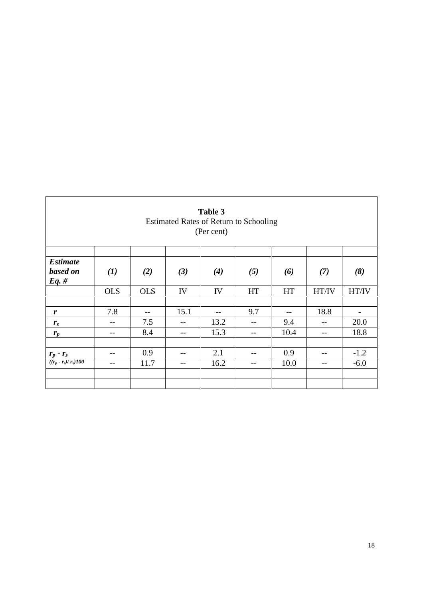| Table 3<br><b>Estimated Rates of Return to Schooling</b><br>(Per cent) |              |            |      |       |           |           |       |        |  |
|------------------------------------------------------------------------|--------------|------------|------|-------|-----------|-----------|-------|--------|--|
| <b>Estimate</b>                                                        |              |            |      |       |           |           |       |        |  |
| based on<br>Eq. #                                                      | $\mathbf{I}$ | (2)        | (3)  | (4)   | (5)       | (6)       | (7)   | (8)    |  |
|                                                                        | <b>OLS</b>   | <b>OLS</b> | IV   | IV    | <b>HT</b> | <b>HT</b> | HT/IV | HT/IV  |  |
|                                                                        |              |            |      |       |           |           |       |        |  |
| r                                                                      | 7.8          | $- -$      | 15.1 | $- -$ | 9.7       | $- -$     | 18.8  |        |  |
| $r_{s}$                                                                | --           | 7.5        | --   | 13.2  | --        | 9.4       | --    | 20.0   |  |
| $r_p$                                                                  |              | 8.4        | --   | 15.3  | $- -$     | 10.4      | --    | 18.8   |  |
|                                                                        |              |            |      |       |           |           |       |        |  |
|                                                                        | --           | 0.9        | --   | 2.1   | --        | 0.9       | --    | $-1.2$ |  |
| $\frac{\boldsymbol{r}_p - \boldsymbol{r}_s}{((r_p - r_s)/\,r_s)100}$   |              | 11.7       |      | 16.2  |           | 10.0      | --    | $-6.0$ |  |
|                                                                        |              |            |      |       |           |           |       |        |  |
|                                                                        |              |            |      |       |           |           |       |        |  |